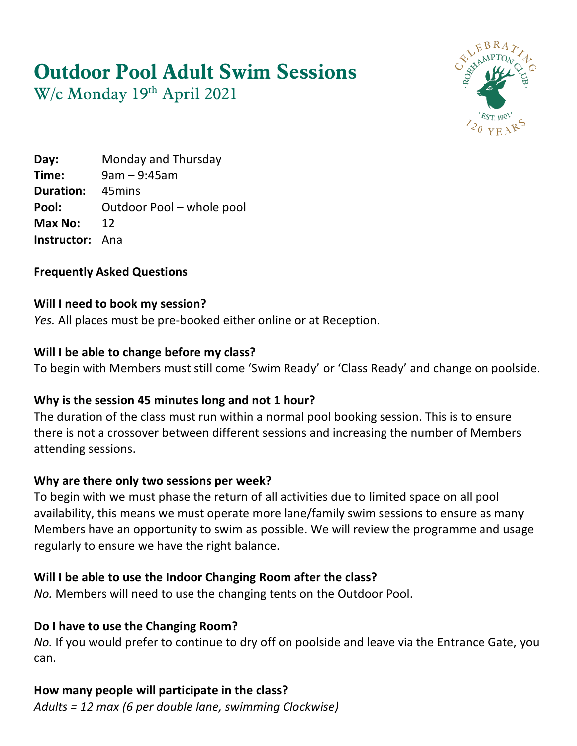# **Outdoor Pool Adult Swim Sessions**

W/c Monday 19th April 2021



**Day:** Monday and Thursday **Time:** 9am – 9:45am **Duration:** 45mins Pool: Outdoor Pool – whole pool **Max No:** 12 **Instructor:** Ana

#### **Frequently Asked Questions**

#### **Will I need to book my session?**

*Yes.* All places must be pre-booked either online or at Reception.

#### **Will I be able to change before my class?**

To begin with Members must still come 'Swim Ready' or 'Class Ready' and change on poolside.

#### **Why is the session 45 minutes long and not 1 hour?**

The duration of the class must run within a normal pool booking session. This is to ensure there is not a crossover between different sessions and increasing the number of Members attending sessions.

#### **Why are there only two sessions per week?**

To begin with we must phase the return of all activities due to limited space on all pool availability, this means we must operate more lane/family swim sessions to ensure as many Members have an opportunity to swim as possible. We will review the programme and usage regularly to ensure we have the right balance.

#### **Will I be able to use the Indoor Changing Room after the class?**

*No.* Members will need to use the changing tents on the Outdoor Pool.

#### **Do I have to use the Changing Room?**

*No.* If you would prefer to continue to dry off on poolside and leave via the Entrance Gate, you can.

## **How many people will participate in the class?**

*Adults = 12 max (6 per double lane, swimming Clockwise)*